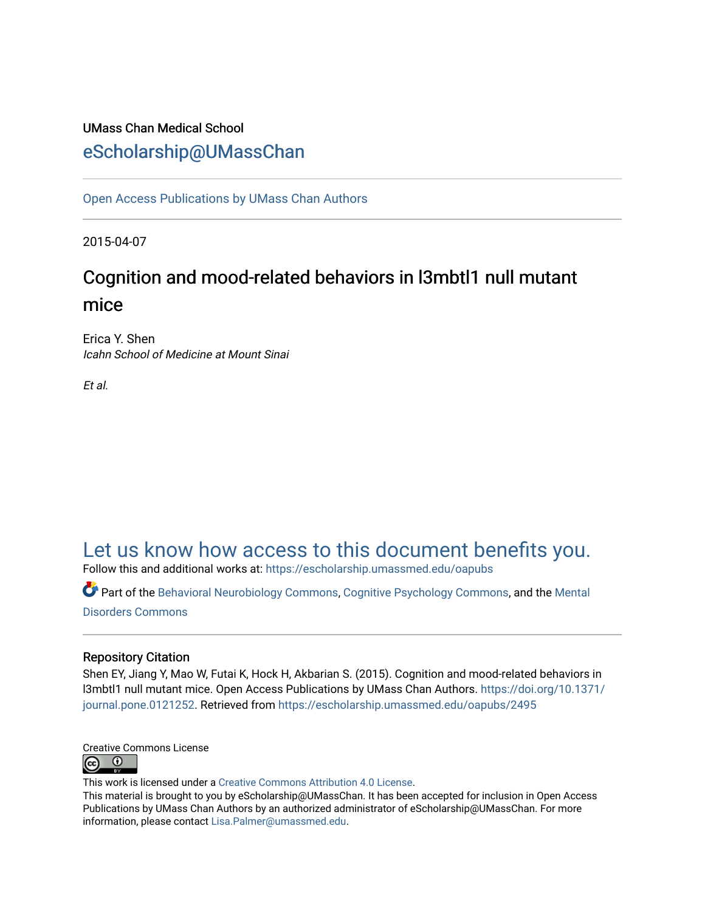## UMass Chan Medical School [eScholarship@UMassChan](https://escholarship.umassmed.edu/)

[Open Access Publications by UMass Chan Authors](https://escholarship.umassmed.edu/oapubs) 

2015-04-07

# Cognition and mood-related behaviors in l3mbtl1 null mutant mice

Erica Y. Shen Icahn School of Medicine at Mount Sinai

Et al.

# [Let us know how access to this document benefits you.](https://arcsapps.umassmed.edu/redcap/surveys/?s=XWRHNF9EJE)

Follow this and additional works at: [https://escholarship.umassmed.edu/oapubs](https://escholarship.umassmed.edu/oapubs?utm_source=escholarship.umassmed.edu%2Foapubs%2F2495&utm_medium=PDF&utm_campaign=PDFCoverPages) 

Part of the [Behavioral Neurobiology Commons,](http://network.bepress.com/hgg/discipline/56?utm_source=escholarship.umassmed.edu%2Foapubs%2F2495&utm_medium=PDF&utm_campaign=PDFCoverPages) [Cognitive Psychology Commons,](http://network.bepress.com/hgg/discipline/408?utm_source=escholarship.umassmed.edu%2Foapubs%2F2495&utm_medium=PDF&utm_campaign=PDFCoverPages) and the Mental [Disorders Commons](http://network.bepress.com/hgg/discipline/968?utm_source=escholarship.umassmed.edu%2Foapubs%2F2495&utm_medium=PDF&utm_campaign=PDFCoverPages)

#### Repository Citation

Shen EY, Jiang Y, Mao W, Futai K, Hock H, Akbarian S. (2015). Cognition and mood-related behaviors in l3mbtl1 null mutant mice. Open Access Publications by UMass Chan Authors. [https://doi.org/10.1371/](https://doi.org/10.1371/journal.pone.0121252) [journal.pone.0121252](https://doi.org/10.1371/journal.pone.0121252). Retrieved from [https://escholarship.umassmed.edu/oapubs/2495](https://escholarship.umassmed.edu/oapubs/2495?utm_source=escholarship.umassmed.edu%2Foapubs%2F2495&utm_medium=PDF&utm_campaign=PDFCoverPages)



This work is licensed under a [Creative Commons Attribution 4.0 License](http://creativecommons.org/licenses/by/4.0/).

This material is brought to you by eScholarship@UMassChan. It has been accepted for inclusion in Open Access Publications by UMass Chan Authors by an authorized administrator of eScholarship@UMassChan. For more information, please contact [Lisa.Palmer@umassmed.edu.](mailto:Lisa.Palmer@umassmed.edu)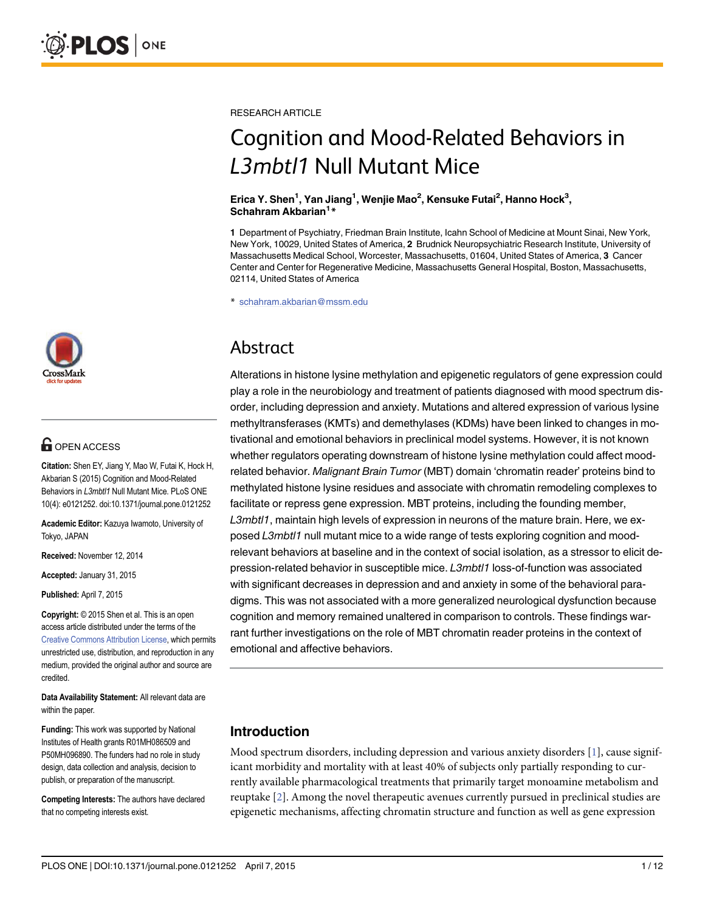## **OPEN ACCESS**

Citation: Shen EY, Jiang Y, Mao W, Futai K, Hock H, Akbarian S (2015) Cognition and Mood-Related Behaviors in L3mbtl1 Null Mutant Mice. PLoS ONE 10(4): e0121252. doi:10.1371/journal.pone.0121252

Academic Editor: Kazuya Iwamoto, University of Tokyo, JAPAN

Received: November 12, 2014

Accepted: January 31, 2015

Published: April 7, 2015

Copyright: © 2015 Shen et al. This is an open access article distributed under the terms of the [Creative Commons Attribution License,](http://creativecommons.org/licenses/by/4.0/) which permits unrestricted use, distribution, and reproduction in any medium, provided the original author and source are credited.

Data Availability Statement: All relevant data are within the paper.

Funding: This work was supported by National Institutes of Health grants R01MH086509 and P50MH096890. The funders had no role in study design, data collection and analysis, decision to publish, or preparation of the manuscript.

Competing Interests: The authors have declared that no competing interests exist.

<span id="page-1-0"></span>RESEARCH ARTICLE

# Cognition and Mood-Related Behaviors in L3mbtl1 Null Mutant Mice

Erica Y. Shen<sup>1</sup>, Yan Jiang<sup>1</sup>, Wenjie Mao<sup>2</sup>, Kensuke Futai<sup>2</sup>, Hanno Hock<sup>3</sup>, Schahram Akbarian<sup>1</sup>\*

1 Department of Psychiatry, Friedman Brain Institute, Icahn School of Medicine at Mount Sinai, New York, New York, 10029, United States of America, 2 Brudnick Neuropsychiatric Research Institute, University of Massachusetts Medical School, Worcester, Massachusetts, 01604, United States of America, 3 Cancer Center and Center for Regenerative Medicine, Massachusetts General Hospital, Boston, Massachusetts, 02114, United States of America

\* schahram.akbarian@mssm.edu

# Abstract

Alterations in histone lysine methylation and epigenetic regulators of gene expression could play a role in the neurobiology and treatment of patients diagnosed with mood spectrum disorder, including depression and anxiety. Mutations and altered expression of various lysine methyltransferases (KMTs) and demethylases (KDMs) have been linked to changes in motivational and emotional behaviors in preclinical model systems. However, it is not known whether regulators operating downstream of histone lysine methylation could affect moodrelated behavior. Malignant Brain Tumor (MBT) domain 'chromatin reader' proteins bind to methylated histone lysine residues and associate with chromatin remodeling complexes to facilitate or repress gene expression. MBT proteins, including the founding member, L3mbtl1, maintain high levels of expression in neurons of the mature brain. Here, we exposed L3mbtl1 null mutant mice to a wide range of tests exploring cognition and moodrelevant behaviors at baseline and in the context of social isolation, as a stressor to elicit depression-related behavior in susceptible mice. L3mbtl1 loss-of-function was associated with significant decreases in depression and and anxiety in some of the behavioral paradigms. This was not associated with a more generalized neurological dysfunction because cognition and memory remained unaltered in comparison to controls. These findings warrant further investigations on the role of MBT chromatin reader proteins in the context of emotional and affective behaviors.

## Introduction

Mood spectrum disorders, including depression and various anxiety disorders [[1\]](#page-10-0), cause significant morbidity and mortality with at least 40% of subjects only partially responding to currently available pharmacological treatments that primarily target monoamine metabolism and reuptake [\[2](#page-10-0)]. Among the novel therapeutic avenues currently pursued in preclinical studies are epigenetic mechanisms, affecting chromatin structure and function as well as gene expression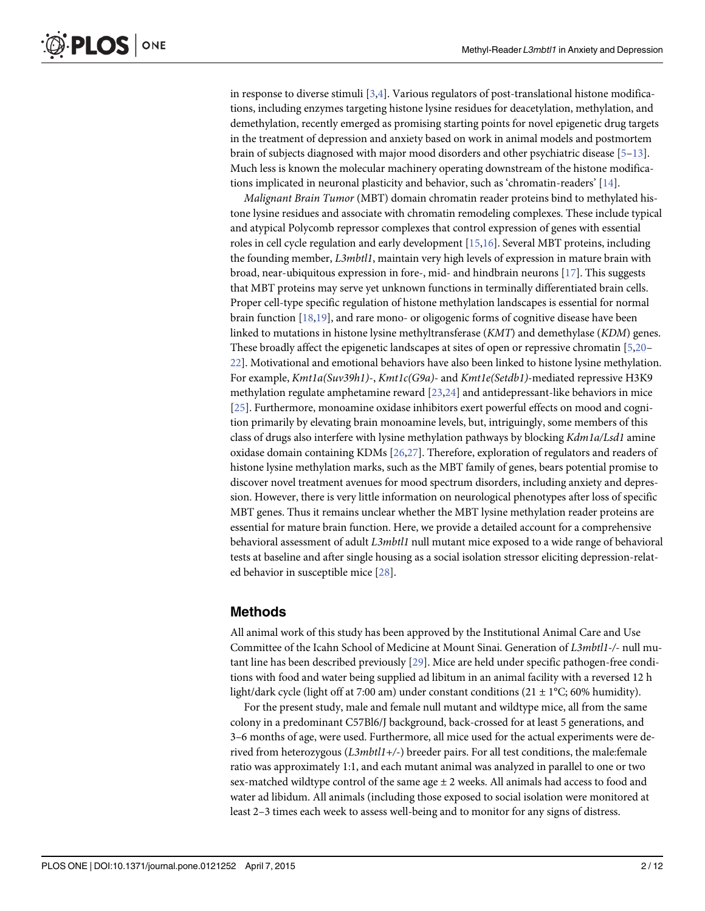<span id="page-2-0"></span>in response to diverse stimuli [\[3,4](#page-10-0)]. Various regulators of post-translational histone modifications, including enzymes targeting histone lysine residues for deacetylation, methylation, and demethylation, recently emerged as promising starting points for novel epigenetic drug targets in the treatment of depression and anxiety based on work in animal models and postmortem brain of subjects diagnosed with major mood disorders and other psychiatric disease [\[5](#page-10-0)–[13\]](#page-10-0). Much less is known the molecular machinery operating downstream of the histone modifications implicated in neuronal plasticity and behavior, such as 'chromatin-readers'  $[14]$  $[14]$  $[14]$ .

Malignant Brain Tumor (MBT) domain chromatin reader proteins bind to methylated histone lysine residues and associate with chromatin remodeling complexes. These include typical and atypical Polycomb repressor complexes that control expression of genes with essential roles in cell cycle regulation and early development [\[15,16\]](#page-10-0). Several MBT proteins, including the founding member, L3mbtl1, maintain very high levels of expression in mature brain with broad, near-ubiquitous expression in fore-, mid- and hindbrain neurons [[17](#page-10-0)]. This suggests that MBT proteins may serve yet unknown functions in terminally differentiated brain cells. Proper cell-type specific regulation of histone methylation landscapes is essential for normal brain function [[18,19](#page-10-0)], and rare mono- or oligogenic forms of cognitive disease have been linked to mutations in histone lysine methyltransferase (KMT) and demethylase (KDM) genes. These broadly affect the epigenetic landscapes at sites of open or repressive chromatin [[5,20](#page-10-0)– [22\]](#page-10-0). Motivational and emotional behaviors have also been linked to histone lysine methylation. For example, Kmt1a(Suv39h1)-, Kmt1c(G9a)- and Kmt1e(Setdb1)-mediated repressive H3K9 methylation regulate amphetamine reward [[23](#page-11-0),[24](#page-11-0)] and antidepressant-like behaviors in mice [\[25](#page-11-0)]. Furthermore, monoamine oxidase inhibitors exert powerful effects on mood and cognition primarily by elevating brain monoamine levels, but, intriguingly, some members of this class of drugs also interfere with lysine methylation pathways by blocking Kdm1a/Lsd1 amine oxidase domain containing KDMs [[26](#page-11-0),[27](#page-11-0)]. Therefore, exploration of regulators and readers of histone lysine methylation marks, such as the MBT family of genes, bears potential promise to discover novel treatment avenues for mood spectrum disorders, including anxiety and depression. However, there is very little information on neurological phenotypes after loss of specific MBT genes. Thus it remains unclear whether the MBT lysine methylation reader proteins are essential for mature brain function. Here, we provide a detailed account for a comprehensive behavioral assessment of adult L3mbtl1 null mutant mice exposed to a wide range of behavioral tests at baseline and after single housing as a social isolation stressor eliciting depression-related behavior in susceptible mice [\[28\]](#page-11-0).

## Methods

All animal work of this study has been approved by the Institutional Animal Care and Use Committee of the Icahn School of Medicine at Mount Sinai. Generation of L3mbtl1-/- null mutant line has been described previously [\[29\]](#page-11-0). Mice are held under specific pathogen-free conditions with food and water being supplied ad libitum in an animal facility with a reversed 12 h light/dark cycle (light off at 7:00 am) under constant conditions (21  $\pm$  1°C; 60% humidity).

For the present study, male and female null mutant and wildtype mice, all from the same colony in a predominant C57Bl6/J background, back-crossed for at least 5 generations, and 3–6 months of age, were used. Furthermore, all mice used for the actual experiments were derived from heterozygous (L3mbtl1+/-) breeder pairs. For all test conditions, the male:female ratio was approximately 1:1, and each mutant animal was analyzed in parallel to one or two sex-matched wildtype control of the same age  $\pm 2$  weeks. All animals had access to food and water ad libidum. All animals (including those exposed to social isolation were monitored at least 2–3 times each week to assess well-being and to monitor for any signs of distress.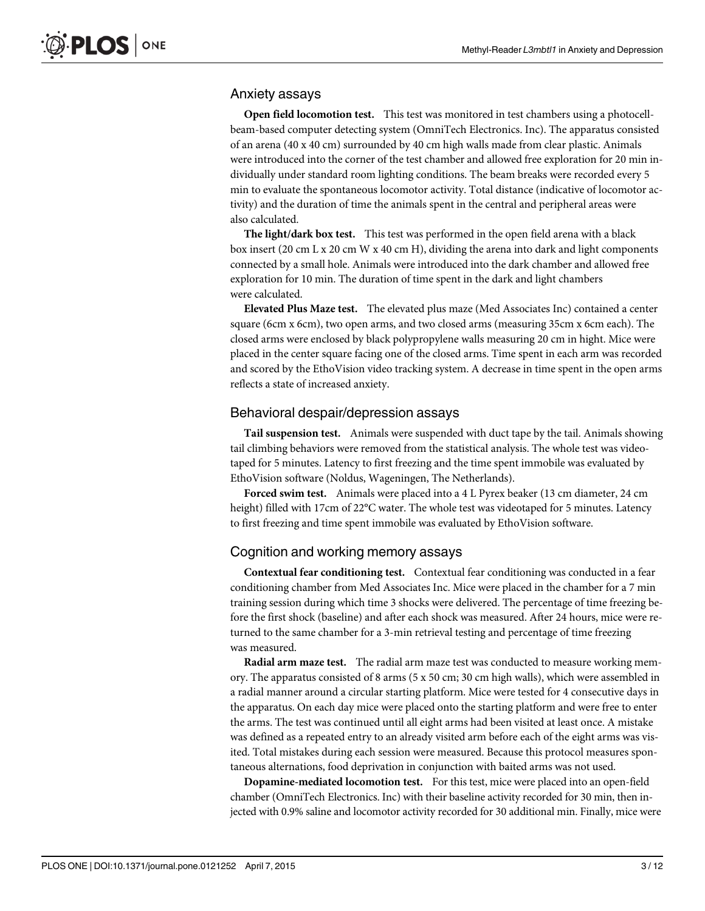#### Anxiety assays

Open field locomotion test. This test was monitored in test chambers using a photocellbeam-based computer detecting system (OmniTech Electronics. Inc). The apparatus consisted of an arena (40 x 40 cm) surrounded by 40 cm high walls made from clear plastic. Animals were introduced into the corner of the test chamber and allowed free exploration for 20 min individually under standard room lighting conditions. The beam breaks were recorded every 5 min to evaluate the spontaneous locomotor activity. Total distance (indicative of locomotor activity) and the duration of time the animals spent in the central and peripheral areas were also calculated.

The light/dark box test. This test was performed in the open field arena with a black box insert (20 cm L x 20 cm W x 40 cm H), dividing the arena into dark and light components connected by a small hole. Animals were introduced into the dark chamber and allowed free exploration for 10 min. The duration of time spent in the dark and light chambers were calculated.

Elevated Plus Maze test. The elevated plus maze (Med Associates Inc) contained a center square (6cm x 6cm), two open arms, and two closed arms (measuring 35cm x 6cm each). The closed arms were enclosed by black polypropylene walls measuring 20 cm in hight. Mice were placed in the center square facing one of the closed arms. Time spent in each arm was recorded and scored by the EthoVision video tracking system. A decrease in time spent in the open arms reflects a state of increased anxiety.

#### Behavioral despair/depression assays

**Tail suspension test.** Animals were suspended with duct tape by the tail. Animals showing tail climbing behaviors were removed from the statistical analysis. The whole test was videotaped for 5 minutes. Latency to first freezing and the time spent immobile was evaluated by EthoVision software (Noldus, Wageningen, The Netherlands).

Forced swim test. Animals were placed into a 4 L Pyrex beaker (13 cm diameter, 24 cm height) filled with 17cm of 22°C water. The whole test was videotaped for 5 minutes. Latency to first freezing and time spent immobile was evaluated by EthoVision software.

#### Cognition and working memory assays

Contextual fear conditioning test. Contextual fear conditioning was conducted in a fear conditioning chamber from Med Associates Inc. Mice were placed in the chamber for a 7 min training session during which time 3 shocks were delivered. The percentage of time freezing before the first shock (baseline) and after each shock was measured. After 24 hours, mice were returned to the same chamber for a 3-min retrieval testing and percentage of time freezing was measured.

Radial arm maze test. The radial arm maze test was conducted to measure working memory. The apparatus consisted of 8 arms (5 x 50 cm; 30 cm high walls), which were assembled in a radial manner around a circular starting platform. Mice were tested for 4 consecutive days in the apparatus. On each day mice were placed onto the starting platform and were free to enter the arms. The test was continued until all eight arms had been visited at least once. A mistake was defined as a repeated entry to an already visited arm before each of the eight arms was visited. Total mistakes during each session were measured. Because this protocol measures spontaneous alternations, food deprivation in conjunction with baited arms was not used.

Dopamine-mediated locomotion test. For this test, mice were placed into an open-field chamber (OmniTech Electronics. Inc) with their baseline activity recorded for 30 min, then injected with 0.9% saline and locomotor activity recorded for 30 additional min. Finally, mice were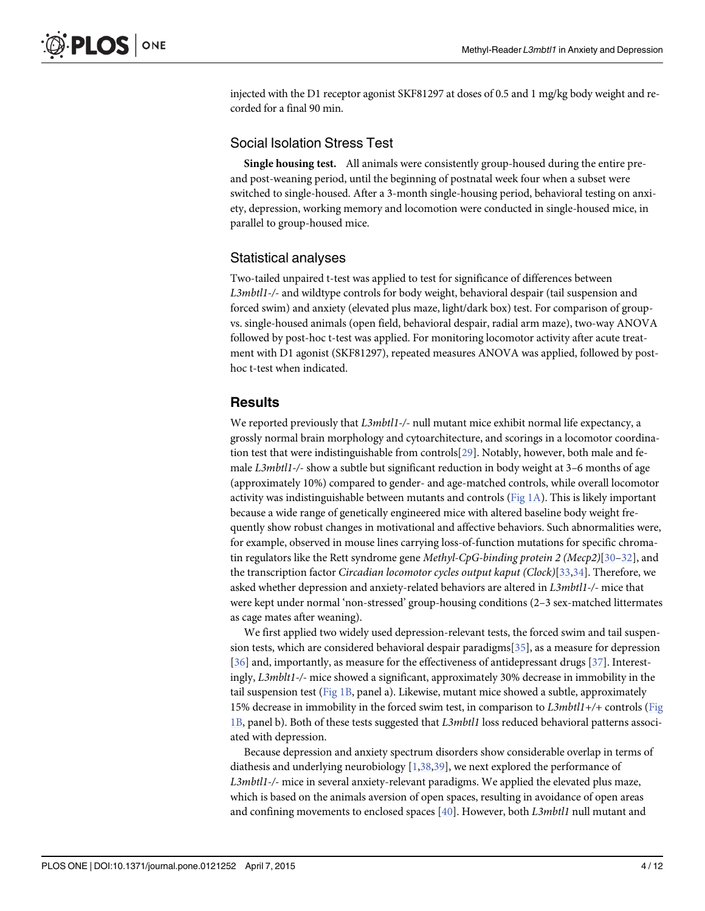<span id="page-4-0"></span>injected with the D1 receptor agonist SKF81297 at doses of 0.5 and 1 mg/kg body weight and recorded for a final 90 min.

#### Social Isolation Stress Test

Single housing test. All animals were consistently group-housed during the entire preand post-weaning period, until the beginning of postnatal week four when a subset were switched to single-housed. After a 3-month single-housing period, behavioral testing on anxiety, depression, working memory and locomotion were conducted in single-housed mice, in parallel to group-housed mice.

#### Statistical analyses

Two-tailed unpaired t-test was applied to test for significance of differences between L3mbtl1-/- and wildtype controls for body weight, behavioral despair (tail suspension and forced swim) and anxiety (elevated plus maze, light/dark box) test. For comparison of groupvs. single-housed animals (open field, behavioral despair, radial arm maze), two-way ANOVA followed by post-hoc t-test was applied. For monitoring locomotor activity after acute treatment with D1 agonist (SKF81297), repeated measures ANOVA was applied, followed by posthoc t-test when indicated.

#### Results

We reported previously that L3mbtl1-/- null mutant mice exhibit normal life expectancy, a grossly normal brain morphology and cytoarchitecture, and scorings in a locomotor coordination test that were indistinguishable from controls $[29]$ . Notably, however, both male and female L3mbtl1-/- show a subtle but significant reduction in body weight at 3-6 months of age (approximately 10%) compared to gender- and age-matched controls, while overall locomotor activity was indistinguishable between mutants and controls ([Fig 1A\)](#page-5-0). This is likely important because a wide range of genetically engineered mice with altered baseline body weight frequently show robust changes in motivational and affective behaviors. Such abnormalities were, for example, observed in mouse lines carrying loss-of-function mutations for specific chromatin regulators like the Rett syndrome gene *Methyl-CpG-binding protein 2 (Mecp2)*[\[30](#page-11-0)–[32](#page-11-0)], and the transcription factor Circadian locomotor cycles output kaput (Clock)[[33,34](#page-11-0)]. Therefore, we asked whether depression and anxiety-related behaviors are altered in L3mbtl1-/- mice that were kept under normal 'non-stressed' group-housing conditions (2–3 sex-matched littermates as cage mates after weaning).

We first applied two widely used depression-relevant tests, the forced swim and tail suspension tests, which are considered behavioral despair paradigms[\[35\]](#page-11-0), as a measure for depression [\[36](#page-11-0)] and, importantly, as measure for the effectiveness of antidepressant drugs [\[37\]](#page-11-0). Interestingly, L3mblt1-/- mice showed a significant, approximately 30% decrease in immobility in the tail suspension test [\(Fig 1B,](#page-5-0) panel a). Likewise, mutant mice showed a subtle, approximately 15% decrease in immobility in the forced swim test, in comparison to L3mbtl1+/+ controls ([Fig](#page-5-0)  $1B$ , panel b). Both of these tests suggested that  $L3mbl1$  loss reduced behavioral patterns associated with depression.

Because depression and anxiety spectrum disorders show considerable overlap in terms of diathesis and underlying neurobiology  $[1,38,39]$  $[1,38,39]$  $[1,38,39]$  $[1,38,39]$ , we next explored the performance of L3mbtl1-/- mice in several anxiety-relevant paradigms. We applied the elevated plus maze, which is based on the animals aversion of open spaces, resulting in avoidance of open areas and confining movements to enclosed spaces  $[40]$  $[40]$  $[40]$ . However, both L3mbtl1 null mutant and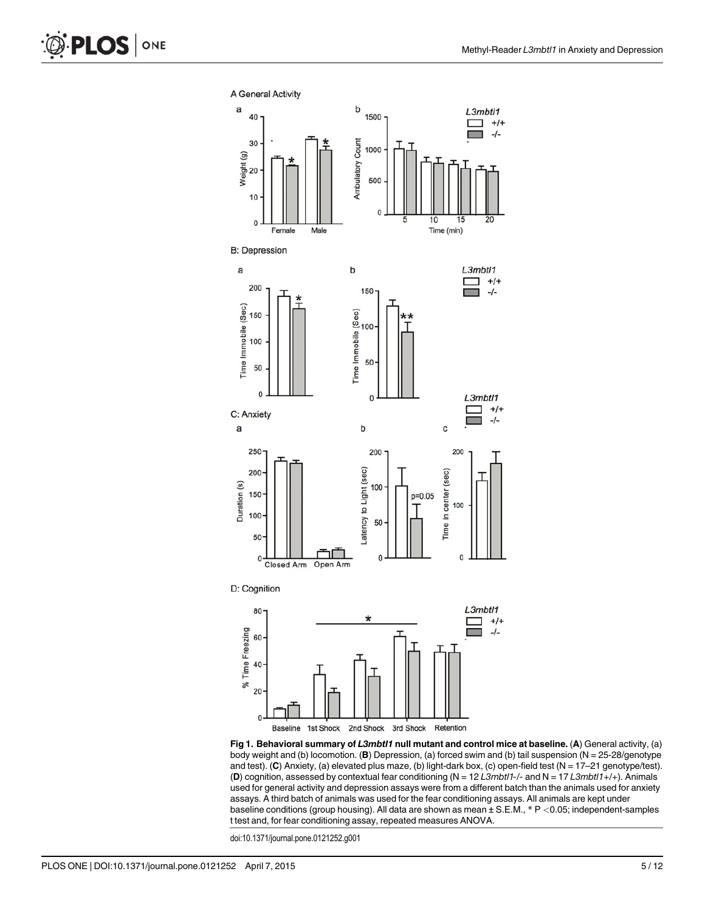<span id="page-5-0"></span>

[Fig 1. B](#page-4-0)ehavioral summary of L3mbt/1 null mutant and control mice at baseline. (A) General activity, (a) body weight and (b) locomotion. (B) Depression, (a) forced swim and (b) tail suspension (N = 25-28/genotype and test). (C) Anxiety, (a) elevated plus maze, (b) light-dark box, (c) open-field test (N = 17–21 genotype/test). (D) cognition, assessed by contextual fear conditioning ( $N = 12$  L3mbtl1-/- and  $N = 17$  L3mbtl1+/+). Animals used for general activity and depression assays were from a different batch than the animals used for anxiety assays. A third batch of animals was used for the fear conditioning assays. All animals are kept under baseline conditions (group housing). All data are shown as mean ± S.E.M., \* P <0.05; independent-samples t test and, for fear conditioning assay, repeated measures ANOVA.

doi:10.1371/journal.pone.0121252.g001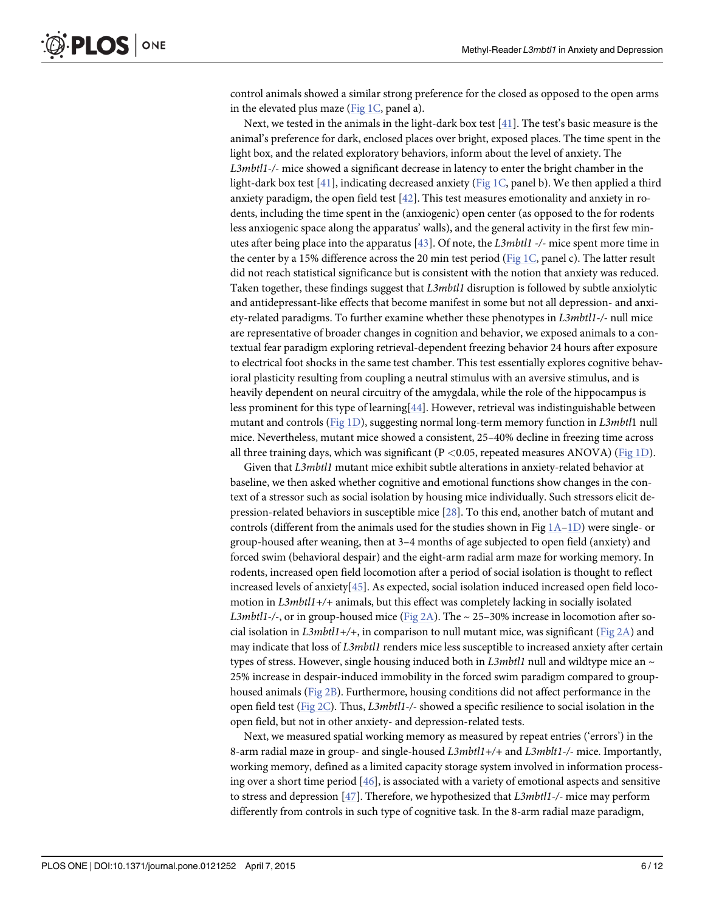<span id="page-6-0"></span>control animals showed a similar strong preference for the closed as opposed to the open arms in the elevated plus maze (Fig  $1C$ , panel a).

Next, we tested in the animals in the light-dark box test  $[41]$  $[41]$  $[41]$ . The test's basic measure is the animal's preference for dark, enclosed places over bright, exposed places. The time spent in the light box, and the related exploratory behaviors, inform about the level of anxiety. The L3mbtl1-/- mice showed a significant decrease in latency to enter the bright chamber in the light-dark box test  $[41]$ , indicating decreased anxiety ([Fig 1C](#page-5-0), panel b). We then applied a third anxiety paradigm, the open field test  $[42]$  $[42]$ . This test measures emotionality and anxiety in rodents, including the time spent in the (anxiogenic) open center (as opposed to the for rodents less anxiogenic space along the apparatus' walls), and the general activity in the first few minutes after being place into the apparatus [[43\]](#page-11-0). Of note, the L3mbtl1 -/- mice spent more time in the center by a 15% difference across the 20 min test period ([Fig 1C,](#page-5-0) panel c). The latter result did not reach statistical significance but is consistent with the notion that anxiety was reduced. Taken together, these findings suggest that *L3mbtl1* disruption is followed by subtle anxiolytic and antidepressant-like effects that become manifest in some but not all depression- and anxiety-related paradigms. To further examine whether these phenotypes in  $L3mbl1$ -/- null mice are representative of broader changes in cognition and behavior, we exposed animals to a contextual fear paradigm exploring retrieval-dependent freezing behavior 24 hours after exposure to electrical foot shocks in the same test chamber. This test essentially explores cognitive behavioral plasticity resulting from coupling a neutral stimulus with an aversive stimulus, and is heavily dependent on neural circuitry of the amygdala, while the role of the hippocampus is less prominent for this type of learning[\[44\]](#page-12-0). However, retrieval was indistinguishable between mutant and controls ([Fig 1D](#page-5-0)), suggesting normal long-term memory function in L3mbtl1 null mice. Nevertheless, mutant mice showed a consistent, 25–40% decline in freezing time across all three training days, which was significant  $(P < 0.05$ , repeated measures ANOVA) [\(Fig 1D\)](#page-5-0).

Given that L3mbtl1 mutant mice exhibit subtle alterations in anxiety-related behavior at baseline, we then asked whether cognitive and emotional functions show changes in the context of a stressor such as social isolation by housing mice individually. Such stressors elicit depression-related behaviors in susceptible mice [\[28\]](#page-11-0). To this end, another batch of mutant and controls (different from the animals used for the studies shown in Fig  $1A-1D$  $1A-1D$  $1A-1D$ ) were single- or group-housed after weaning, then at 3–4 months of age subjected to open field (anxiety) and forced swim (behavioral despair) and the eight-arm radial arm maze for working memory. In rodents, increased open field locomotion after a period of social isolation is thought to reflect increased levels of anxiety[[45](#page-12-0)]. As expected, social isolation induced increased open field locomotion in L3mbtl1+/+ animals, but this effect was completely lacking in socially isolated *L3mbtl1-/-*, or in group-housed mice ([Fig 2A](#page-7-0)). The  $\sim$  25–30% increase in locomotion after so-cial isolation in L3mbtl1+/+, in comparison to null mutant mice, was significant [\(Fig 2A\)](#page-7-0) and may indicate that loss of L3mbtl1 renders mice less susceptible to increased anxiety after certain types of stress. However, single housing induced both in L3mbtl1 null and wildtype mice an  $\sim$ 25% increase in despair-induced immobility in the forced swim paradigm compared to grouphoused animals [\(Fig 2B\)](#page-7-0). Furthermore, housing conditions did not affect performance in the open field test (Fig  $2C$ ). Thus, L3mbtl1-/- showed a specific resilience to social isolation in the open field, but not in other anxiety- and depression-related tests.

Next, we measured spatial working memory as measured by repeat entries ('errors') in the 8-arm radial maze in group- and single-housed L3mbtl1+/+ and L3mblt1-/- mice. Importantly, working memory, defined as a limited capacity storage system involved in information processing over a short time period  $[46]$  $[46]$ , is associated with a variety of emotional aspects and sensitive to stress and depression  $[47]$  $[47]$  $[47]$ . Therefore, we hypothesized that L3mbtl1-/- mice may perform differently from controls in such type of cognitive task. In the 8-arm radial maze paradigm,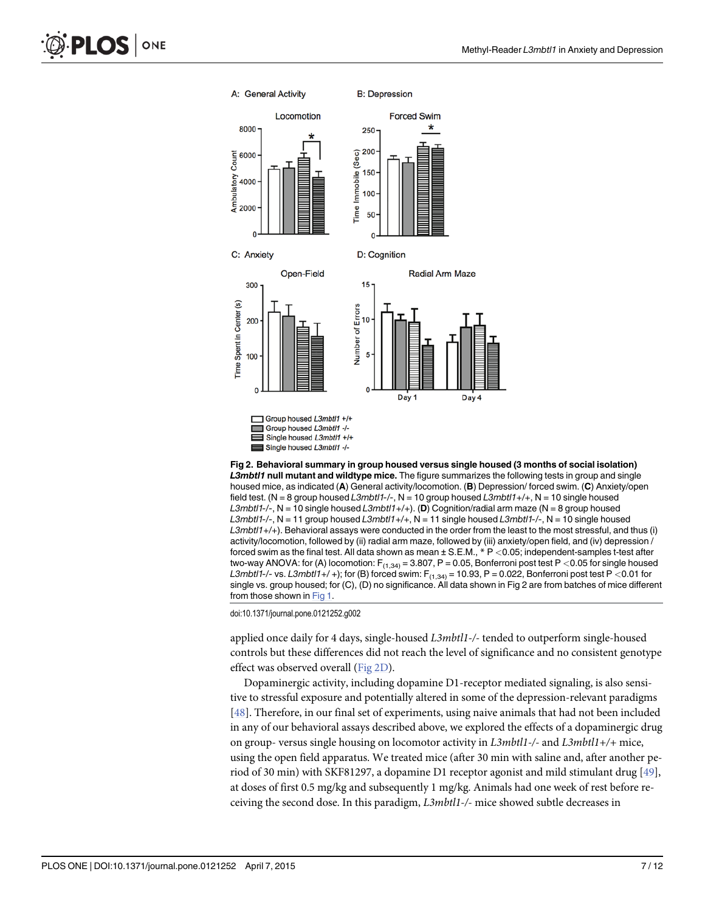<span id="page-7-0"></span>

[Fig 2. B](#page-6-0)ehavioral summary in group housed versus single housed (3 months of social isolation) L3mbt/1 null mutant and wildtype mice. The figure summarizes the following tests in group and single housed mice, as indicated (A) General activity/locomotion. (B) Depression/forced swim. (C) Anxiety/open field test. (N = 8 group housed L3mbtl1-/-, N = 10 group housed L3mbtl1+/+, N = 10 single housed L3mbtl1-/-, N = 10 single housed L3mbtl1+/+). (D) Cognition/radial arm maze (N = 8 group housed L3mbtl1-/-, N = 11 group housed L3mbtl1+/+, N = 11 single housed L3mbtl1-/-, N = 10 single housed L3mbtl1+/+). Behavioral assays were conducted in the order from the least to the most stressful, and thus (i) activity/locomotion, followed by (ii) radial arm maze, followed by (iii) anxiety/open field, and (iv) depression / forced swim as the final test. All data shown as mean  $\pm$  S.E.M.,  $*$  P < 0.05; independent-samples t-test after two-way ANOVA: for (A) locomotion:  $F_{(1,34)} = 3.807$ , P = 0.05, Bonferroni post test P < 0.05 for single housed L3mbtl1-/- vs. L3mbtl1+/ +); for (B) forced swim:  $F_{(1,34)} = 10.93$ , P = 0.022, Bonferroni post test P < 0.01 for single vs. group housed; for (C), (D) no significance. All data shown in Fig 2 are from batches of mice different from those shown in [Fig 1](#page-5-0).

doi:10.1371/journal.pone.0121252.g002

applied once daily for 4 days, single-housed L3mbtl1-/- tended to outperform single-housed controls but these differences did not reach the level of significance and no consistent genotype effect was observed overall (Fig 2D).

Dopaminergic activity, including dopamine D1-receptor mediated signaling, is also sensitive to stressful exposure and potentially altered in some of the depression-relevant paradigms [\[48](#page-12-0)]. Therefore, in our final set of experiments, using naive animals that had not been included in any of our behavioral assays described above, we explored the effects of a dopaminergic drug on group- versus single housing on locomotor activity in  $L3mbl1$ -/- and  $L3mbl1$ +/+ mice, using the open field apparatus. We treated mice (after 30 min with saline and, after another period of 30 min) with SKF81297, a dopamine D1 receptor agonist and mild stimulant drug [[49\]](#page-12-0), at doses of first 0.5 mg/kg and subsequently 1 mg/kg. Animals had one week of rest before receiving the second dose. In this paradigm, L3mbtl1-/- mice showed subtle decreases in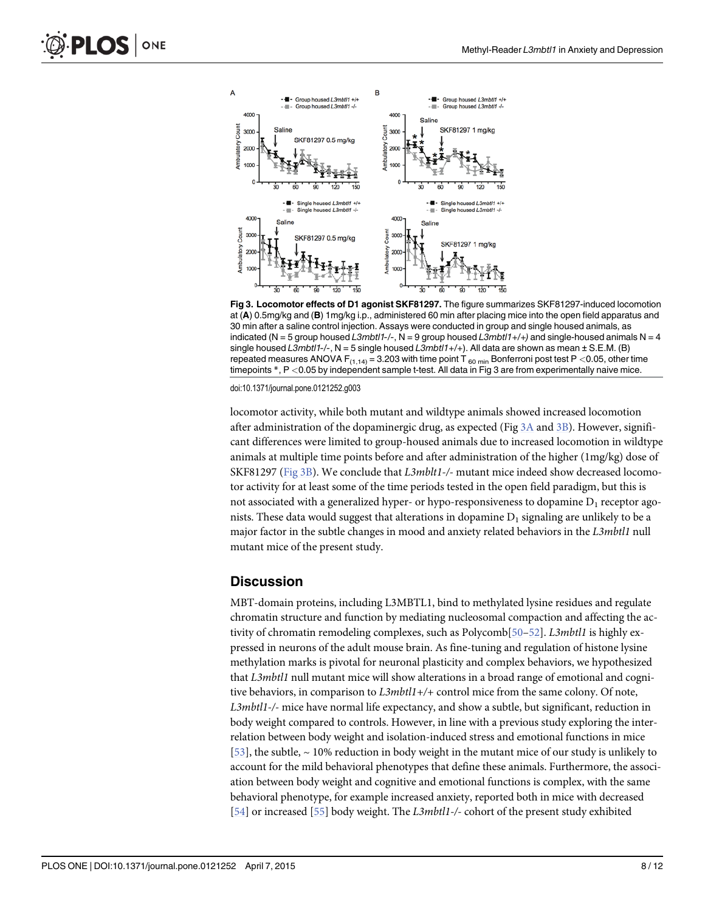<span id="page-8-0"></span>

Fig 3. Locomotor effects of D1 agonist SKF81297. The figure summarizes SKF81297-induced locomotion at (A) 0.5mg/kg and (B) 1mg/kg i.p., administered 60 min after placing mice into the open field apparatus and 30 min after a saline control injection. Assays were conducted in group and single housed animals, as indicated (N = 5 group housed L3mbtl1-/-, N = 9 group housed L3mbtl1+/+) and single-housed animals N = 4 single housed L3mbtl1-/-,  $N = 5$  single housed L3mbtl1+/+). All data are shown as mean  $\pm$  S.E.M. (B) repeated measures ANOVA  $F_{(1,14)} = 3.203$  with time point T<sub>60 min</sub> Bonferroni post test P <0.05, other time timepoints  $*, P < 0.05$  by independent sample t-test. All data in Fig 3 are from experimentally naive mice.

doi:10.1371/journal.pone.0121252.g003

locomotor activity, while both mutant and wildtype animals showed increased locomotion after administration of the dopaminergic drug, as expected (Fig  $3A$  and  $3B$ ). However, significant differences were limited to group-housed animals due to increased locomotion in wildtype animals at multiple time points before and after administration of the higher (1mg/kg) dose of SKF81297 (Fig 3B). We conclude that L3mblt1-/- mutant mice indeed show decreased locomotor activity for at least some of the time periods tested in the open field paradigm, but this is not associated with a generalized hyper- or hypo-responsiveness to dopamine  $D_1$  receptor agonists. These data would suggest that alterations in dopamine  $D_1$  signaling are unlikely to be a major factor in the subtle changes in mood and anxiety related behaviors in the L3mbtl1 null mutant mice of the present study.

#### **Discussion**

MBT-domain proteins, including L3MBTL1, bind to methylated lysine residues and regulate chromatin structure and function by mediating nucleosomal compaction and affecting the activity of chromatin remodeling complexes, such as  $Polycomb[50-52]$  $Polycomb[50-52]$  $Polycomb[50-52]$  $Polycomb[50-52]$ . L3mbtl1 is highly expressed in neurons of the adult mouse brain. As fine-tuning and regulation of histone lysine methylation marks is pivotal for neuronal plasticity and complex behaviors, we hypothesized that L3mbtl1 null mutant mice will show alterations in a broad range of emotional and cognitive behaviors, in comparison to  $L3mbl1+/+$  control mice from the same colony. Of note, L3mbtl1-/- mice have normal life expectancy, and show a subtle, but significant, reduction in body weight compared to controls. However, in line with a previous study exploring the interrelation between body weight and isolation-induced stress and emotional functions in mice [\[53](#page-12-0)], the subtle,  $\sim$  10% reduction in body weight in the mutant mice of our study is unlikely to account for the mild behavioral phenotypes that define these animals. Furthermore, the association between body weight and cognitive and emotional functions is complex, with the same behavioral phenotype, for example increased anxiety, reported both in mice with decreased [\[54](#page-12-0)] or increased [[55](#page-12-0)] body weight. The L3mbtl1-/- cohort of the present study exhibited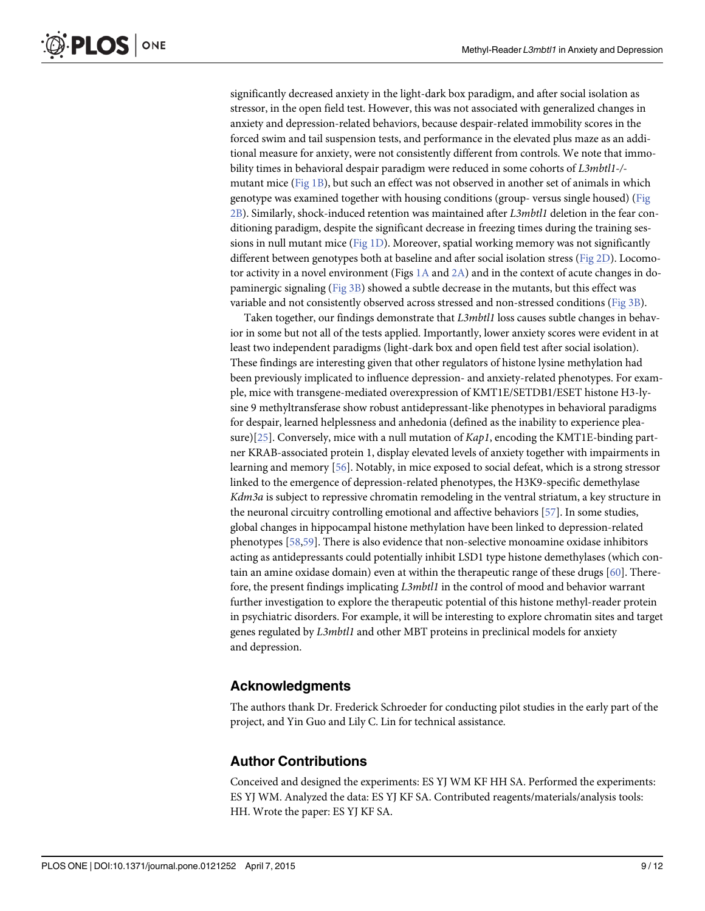<span id="page-9-0"></span>significantly decreased anxiety in the light-dark box paradigm, and after social isolation as stressor, in the open field test. However, this was not associated with generalized changes in anxiety and depression-related behaviors, because despair-related immobility scores in the forced swim and tail suspension tests, and performance in the elevated plus maze as an additional measure for anxiety, were not consistently different from controls. We note that immobility times in behavioral despair paradigm were reduced in some cohorts of L3mbtl1-/- mutant mice [\(Fig 1B](#page-5-0)), but such an effect was not observed in another set of animals in which genotype was examined together with housing conditions (group- versus single housed) ([Fig](#page-7-0) [2B\)](#page-7-0). Similarly, shock-induced retention was maintained after L3mbtl1 deletion in the fear conditioning paradigm, despite the significant decrease in freezing times during the training ses-sions in null mutant mice ([Fig 1D](#page-5-0)). Moreover, spatial working memory was not significantly different between genotypes both at baseline and after social isolation stress [\(Fig 2D](#page-7-0)). Locomotor activity in a novel environment (Figs  $1A$  and  $2A$ ) and in the context of acute changes in dopaminergic signaling ([Fig 3B\)](#page-8-0) showed a subtle decrease in the mutants, but this effect was variable and not consistently observed across stressed and non-stressed conditions [\(Fig 3B](#page-8-0)).

Taken together, our findings demonstrate that L3mbtl1 loss causes subtle changes in behavior in some but not all of the tests applied. Importantly, lower anxiety scores were evident in at least two independent paradigms (light-dark box and open field test after social isolation). These findings are interesting given that other regulators of histone lysine methylation had been previously implicated to influence depression- and anxiety-related phenotypes. For example, mice with transgene-mediated overexpression of KMT1E/SETDB1/ESET histone H3-lysine 9 methyltransferase show robust antidepressant-like phenotypes in behavioral paradigms for despair, learned helplessness and anhedonia (defined as the inability to experience plea-sure)[[25](#page-11-0)]. Conversely, mice with a null mutation of  $Kap1$ , encoding the KMT1E-binding partner KRAB-associated protein 1, display elevated levels of anxiety together with impairments in learning and memory [\[56](#page-12-0)]. Notably, in mice exposed to social defeat, which is a strong stressor linked to the emergence of depression-related phenotypes, the H3K9-specific demethylase Kdm3a is subject to repressive chromatin remodeling in the ventral striatum, a key structure in the neuronal circuitry controlling emotional and affective behaviors [\[57](#page-12-0)]. In some studies, global changes in hippocampal histone methylation have been linked to depression-related phenotypes [\[58,59\]](#page-12-0). There is also evidence that non-selective monoamine oxidase inhibitors acting as antidepressants could potentially inhibit LSD1 type histone demethylases (which contain an amine oxidase domain) even at within the therapeutic range of these drugs  $[60]$  $[60]$  $[60]$ . Therefore, the present findings implicating L3mbtl1 in the control of mood and behavior warrant further investigation to explore the therapeutic potential of this histone methyl-reader protein in psychiatric disorders. For example, it will be interesting to explore chromatin sites and target genes regulated by L3mbtl1 and other MBT proteins in preclinical models for anxiety and depression.

## Acknowledgments

The authors thank Dr. Frederick Schroeder for conducting pilot studies in the early part of the project, and Yin Guo and Lily C. Lin for technical assistance.

## Author Contributions

Conceived and designed the experiments: ES YJ WM KF HH SA. Performed the experiments: ES YJ WM. Analyzed the data: ES YJ KF SA. Contributed reagents/materials/analysis tools: HH. Wrote the paper: ES YJ KF SA.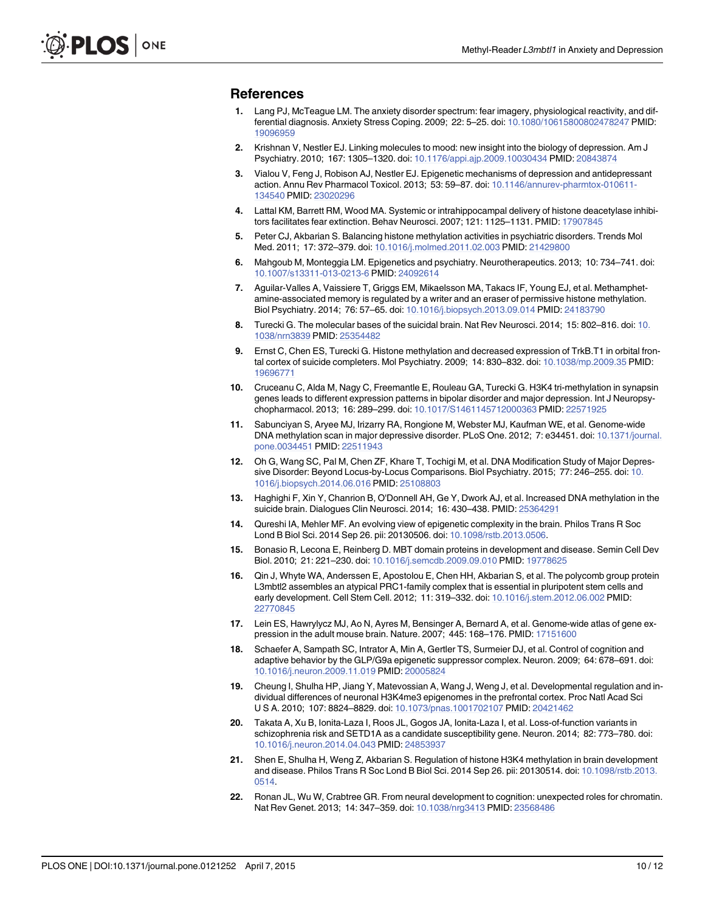#### <span id="page-10-0"></span>References

- [1.](#page-1-0) Lang PJ, McTeague LM. The anxiety disorder spectrum: fear imagery, physiological reactivity, and differential diagnosis. Anxiety Stress Coping. 2009; 22: 5–25. doi: [10.1080/10615800802478247](http://dx.doi.org/10.1080/10615800802478247) PMID: [19096959](http://www.ncbi.nlm.nih.gov/pubmed/19096959)
- [2.](#page-1-0) Krishnan V, Nestler EJ. Linking molecules to mood: new insight into the biology of depression. Am J Psychiatry. 2010; 167: 1305–1320. doi: [10.1176/appi.ajp.2009.10030434](http://dx.doi.org/10.1176/appi.ajp.2009.10030434) PMID: [20843874](http://www.ncbi.nlm.nih.gov/pubmed/20843874)
- [3.](#page-2-0) Vialou V, Feng J, Robison AJ, Nestler EJ. Epigenetic mechanisms of depression and antidepressant action. Annu Rev Pharmacol Toxicol. 2013; 53: 59–87. doi: [10.1146/annurev-pharmtox-010611-](http://dx.doi.org/10.1146/annurev-pharmtox-010611-134540) [134540](http://dx.doi.org/10.1146/annurev-pharmtox-010611-134540) PMID: [23020296](http://www.ncbi.nlm.nih.gov/pubmed/23020296)
- [4.](#page-2-0) Lattal KM, Barrett RM, Wood MA. Systemic or intrahippocampal delivery of histone deacetylase inhibitors facilitates fear extinction. Behav Neurosci. 2007; 121: 1125–1131. PMID: [17907845](http://www.ncbi.nlm.nih.gov/pubmed/17907845)
- [5.](#page-2-0) Peter CJ, Akbarian S. Balancing histone methylation activities in psychiatric disorders. Trends Mol Med. 2011; 17: 372–379. doi: [10.1016/j.molmed.2011.02.003](http://dx.doi.org/10.1016/j.molmed.2011.02.003) PMID: [21429800](http://www.ncbi.nlm.nih.gov/pubmed/21429800)
- 6. Mahgoub M, Monteggia LM. Epigenetics and psychiatry. Neurotherapeutics. 2013; 10: 734–741. doi: [10.1007/s13311-013-0213-6](http://dx.doi.org/10.1007/s13311-013-0213-6) PMID: [24092614](http://www.ncbi.nlm.nih.gov/pubmed/24092614)
- 7. Aguilar-Valles A, Vaissiere T, Griggs EM, Mikaelsson MA, Takacs IF, Young EJ, et al. Methamphetamine-associated memory is regulated by a writer and an eraser of permissive histone methylation. Biol Psychiatry. 2014; 76: 57–65. doi: [10.1016/j.biopsych.2013.09.014](http://dx.doi.org/10.1016/j.biopsych.2013.09.014) PMID: [24183790](http://www.ncbi.nlm.nih.gov/pubmed/24183790)
- 8. Turecki G. The molecular bases of the suicidal brain. Nat Rev Neurosci. 2014; 15: 802–816. doi: [10.](http://dx.doi.org/10.1038/nrn3839) [1038/nrn3839](http://dx.doi.org/10.1038/nrn3839) PMID: [25354482](http://www.ncbi.nlm.nih.gov/pubmed/25354482)
- 9. Ernst C, Chen ES, Turecki G. Histone methylation and decreased expression of TrkB.T1 in orbital frontal cortex of suicide completers. Mol Psychiatry. 2009; 14: 830–832. doi: [10.1038/mp.2009.35](http://dx.doi.org/10.1038/mp.2009.35) PMID: [19696771](http://www.ncbi.nlm.nih.gov/pubmed/19696771)
- 10. Cruceanu C, Alda M, Nagy C, Freemantle E, Rouleau GA, Turecki G. H3K4 tri-methylation in synapsin genes leads to different expression patterns in bipolar disorder and major depression. Int J Neuropsychopharmacol. 2013; 16: 289–299. doi: [10.1017/S1461145712000363](http://dx.doi.org/10.1017/S1461145712000363) PMID: [22571925](http://www.ncbi.nlm.nih.gov/pubmed/22571925)
- 11. Sabunciyan S, Aryee MJ, Irizarry RA, Rongione M, Webster MJ, Kaufman WE, et al. Genome-wide DNA methylation scan in major depressive disorder. PLoS One. 2012; 7: e34451. doi: [10.1371/journal.](http://dx.doi.org/10.1371/journal.pone.0034451) [pone.0034451](http://dx.doi.org/10.1371/journal.pone.0034451) PMID: [22511943](http://www.ncbi.nlm.nih.gov/pubmed/22511943)
- 12. Oh G, Wang SC, Pal M, Chen ZF, Khare T, Tochigi M, et al. DNA Modification Study of Major Depressive Disorder: Beyond Locus-by-Locus Comparisons. Biol Psychiatry. 2015; 77: 246–255. doi: [10.](http://dx.doi.org/10.1016/j.biopsych.2014.06.016) [1016/j.biopsych.2014.06.016](http://dx.doi.org/10.1016/j.biopsych.2014.06.016) PMID: [25108803](http://www.ncbi.nlm.nih.gov/pubmed/25108803)
- [13.](#page-2-0) Haghighi F, Xin Y, Chanrion B, O'Donnell AH, Ge Y, Dwork AJ, et al. Increased DNA methylation in the suicide brain. Dialogues Clin Neurosci. 2014; 16: 430–438. PMID: [25364291](http://www.ncbi.nlm.nih.gov/pubmed/25364291)
- [14.](#page-2-0) Qureshi IA, Mehler MF. An evolving view of epigenetic complexity in the brain. Philos Trans R Soc Lond B Biol Sci. 2014 Sep 26. pii: 20130506. doi: [10.1098/rstb.2013.0506](http://dx.doi.org/10.1098/rstb.2013.0506).
- [15.](#page-2-0) Bonasio R, Lecona E, Reinberg D. MBT domain proteins in development and disease. Semin Cell Dev Biol. 2010; 21: 221–230. doi: [10.1016/j.semcdb.2009.09.010](http://dx.doi.org/10.1016/j.semcdb.2009.09.010) PMID: [19778625](http://www.ncbi.nlm.nih.gov/pubmed/19778625)
- [16.](#page-2-0) Qin J, Whyte WA, Anderssen E, Apostolou E, Chen HH, Akbarian S, et al. The polycomb group protein L3mbtl2 assembles an atypical PRC1-family complex that is essential in pluripotent stem cells and early development. Cell Stem Cell. 2012; 11: 319–332. doi: [10.1016/j.stem.2012.06.002](http://dx.doi.org/10.1016/j.stem.2012.06.002) PMID: [22770845](http://www.ncbi.nlm.nih.gov/pubmed/22770845)
- [17.](#page-2-0) Lein ES, Hawrylycz MJ, Ao N, Ayres M, Bensinger A, Bernard A, et al. Genome-wide atlas of gene expression in the adult mouse brain. Nature. 2007; 445: 168–176. PMID: [17151600](http://www.ncbi.nlm.nih.gov/pubmed/17151600)
- [18.](#page-2-0) Schaefer A, Sampath SC, Intrator A, Min A, Gertler TS, Surmeier DJ, et al. Control of cognition and adaptive behavior by the GLP/G9a epigenetic suppressor complex. Neuron. 2009; 64: 678–691. doi: [10.1016/j.neuron.2009.11.019](http://dx.doi.org/10.1016/j.neuron.2009.11.019) PMID: [20005824](http://www.ncbi.nlm.nih.gov/pubmed/20005824)
- [19.](#page-2-0) Cheung I, Shulha HP, Jiang Y, Matevossian A, Wang J, Weng J, et al. Developmental regulation and individual differences of neuronal H3K4me3 epigenomes in the prefrontal cortex. Proc Natl Acad Sci U S A. 2010; 107: 8824–8829. doi: [10.1073/pnas.1001702107](http://dx.doi.org/10.1073/pnas.1001702107) PMID: [20421462](http://www.ncbi.nlm.nih.gov/pubmed/20421462)
- [20.](#page-2-0) Takata A, Xu B, Ionita-Laza I, Roos JL, Gogos JA, Ionita-Laza I, et al. Loss-of-function variants in schizophrenia risk and SETD1A as a candidate susceptibility gene. Neuron. 2014; 82: 773–780. doi: [10.1016/j.neuron.2014.04.043](http://dx.doi.org/10.1016/j.neuron.2014.04.043) PMID: [24853937](http://www.ncbi.nlm.nih.gov/pubmed/24853937)
- 21. Shen E, Shulha H, Weng Z, Akbarian S. Regulation of histone H3K4 methylation in brain development and disease. Philos Trans R Soc Lond B Biol Sci. 2014 Sep 26. pii: 20130514. doi: [10.1098/rstb.2013.](http://dx.doi.org/10.1098/rstb.2013.0514) [0514.](http://dx.doi.org/10.1098/rstb.2013.0514)
- [22.](#page-2-0) Ronan JL, Wu W, Crabtree GR. From neural development to cognition: unexpected roles for chromatin. Nat Rev Genet. 2013; 14: 347–359. doi: [10.1038/nrg3413](http://dx.doi.org/10.1038/nrg3413) PMID: [23568486](http://www.ncbi.nlm.nih.gov/pubmed/23568486)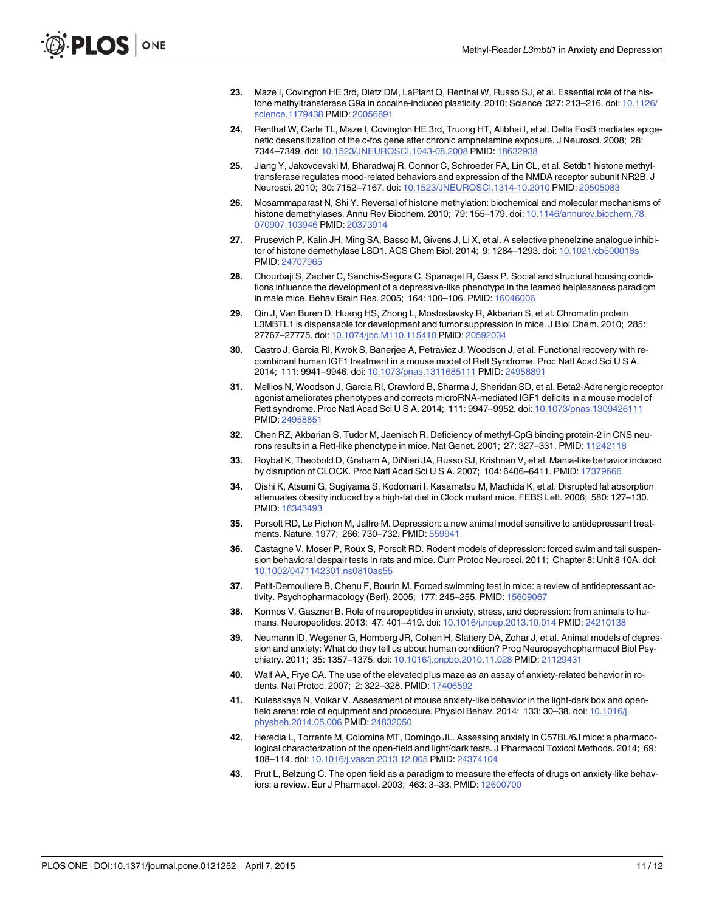- <span id="page-11-0"></span>[23.](#page-2-0) Maze I, Covington HE 3rd, Dietz DM, LaPlant Q, Renthal W, Russo SJ, et al. Essential role of the histone methyltransferase G9a in cocaine-induced plasticity. 2010; Science 327: 213–216. doi: [10.1126/](http://dx.doi.org/10.1126/science.1179438) [science.1179438](http://dx.doi.org/10.1126/science.1179438) PMID: [20056891](http://www.ncbi.nlm.nih.gov/pubmed/20056891)
- [24.](#page-2-0) Renthal W, Carle TL, Maze I, Covington HE 3rd, Truong HT, Alibhai I, et al. Delta FosB mediates epigenetic desensitization of the c-fos gene after chronic amphetamine exposure. J Neurosci. 2008; 28: 7344–7349. doi: [10.1523/JNEUROSCI.1043-08.2008](http://dx.doi.org/10.1523/JNEUROSCI.1043-08.2008) PMID: [18632938](http://www.ncbi.nlm.nih.gov/pubmed/18632938)
- [25.](#page-2-0) Jiang Y, Jakovcevski M, Bharadwaj R, Connor C, Schroeder FA, Lin CL, et al. Setdb1 histone methyltransferase regulates mood-related behaviors and expression of the NMDA receptor subunit NR2B. J Neurosci. 2010; 30: 7152–7167. doi: [10.1523/JNEUROSCI.1314-10.2010](http://dx.doi.org/10.1523/JNEUROSCI.1314-10.2010) PMID: [20505083](http://www.ncbi.nlm.nih.gov/pubmed/20505083)
- [26.](#page-2-0) Mosammaparast N, Shi Y. Reversal of histone methylation: biochemical and molecular mechanisms of histone demethylases. Annu Rev Biochem. 2010; 79: 155-179. doi: [10.1146/annurev.biochem.78.](http://dx.doi.org/10.1146/annurev.biochem.78.070907.103946) [070907.103946](http://dx.doi.org/10.1146/annurev.biochem.78.070907.103946) PMID: [20373914](http://www.ncbi.nlm.nih.gov/pubmed/20373914)
- [27.](#page-2-0) Prusevich P, Kalin JH, Ming SA, Basso M, Givens J, Li X, et al. A selective phenelzine analogue inhibitor of histone demethylase LSD1. ACS Chem Biol. 2014; 9: 1284–1293. doi: [10.1021/cb500018s](http://dx.doi.org/10.1021/cb500018s) PMID: [24707965](http://www.ncbi.nlm.nih.gov/pubmed/24707965)
- [28.](#page-2-0) Chourbaji S, Zacher C, Sanchis-Segura C, Spanagel R, Gass P. Social and structural housing conditions influence the development of a depressive-like phenotype in the learned helplessness paradigm in male mice. Behav Brain Res. 2005; 164: 100–106. PMID: [16046006](http://www.ncbi.nlm.nih.gov/pubmed/16046006)
- [29.](#page-2-0) Qin J, Van Buren D, Huang HS, Zhong L, Mostoslavsky R, Akbarian S, et al. Chromatin protein L3MBTL1 is dispensable for development and tumor suppression in mice. J Biol Chem. 2010; 285: 27767–27775. doi: [10.1074/jbc.M110.115410](http://dx.doi.org/10.1074/jbc.M110.115410) PMID: [20592034](http://www.ncbi.nlm.nih.gov/pubmed/20592034)
- [30.](#page-4-0) Castro J, Garcia RI, Kwok S, Banerjee A, Petravicz J, Woodson J, et al. Functional recovery with recombinant human IGF1 treatment in a mouse model of Rett Syndrome. Proc Natl Acad Sci U S A. 2014; 111: 9941–9946. doi: [10.1073/pnas.1311685111](http://dx.doi.org/10.1073/pnas.1311685111) PMID: [24958891](http://www.ncbi.nlm.nih.gov/pubmed/24958891)
- 31. Mellios N, Woodson J, Garcia RI, Crawford B, Sharma J, Sheridan SD, et al. Beta2-Adrenergic receptor agonist ameliorates phenotypes and corrects microRNA-mediated IGF1 deficits in a mouse model of Rett syndrome. Proc Natl Acad Sci U S A. 2014; 111: 9947–9952. doi: [10.1073/pnas.1309426111](http://dx.doi.org/10.1073/pnas.1309426111) PMID: [24958851](http://www.ncbi.nlm.nih.gov/pubmed/24958851)
- [32.](#page-4-0) Chen RZ, Akbarian S, Tudor M, Jaenisch R. Deficiency of methyl-CpG binding protein-2 in CNS neurons results in a Rett-like phenotype in mice. Nat Genet. 2001; 27: 327–331. PMID: [11242118](http://www.ncbi.nlm.nih.gov/pubmed/11242118)
- [33.](#page-4-0) Roybal K, Theobold D, Graham A, DiNieri JA, Russo SJ, Krishnan V, et al. Mania-like behavior induced by disruption of CLOCK. Proc Natl Acad Sci U S A. 2007; 104: 6406–6411. PMID: [17379666](http://www.ncbi.nlm.nih.gov/pubmed/17379666)
- [34.](#page-4-0) Oishi K, Atsumi G, Sugiyama S, Kodomari I, Kasamatsu M, Machida K, et al. Disrupted fat absorption attenuates obesity induced by a high-fat diet in Clock mutant mice. FEBS Lett. 2006; 580: 127–130. PMID: [16343493](http://www.ncbi.nlm.nih.gov/pubmed/16343493)
- [35.](#page-4-0) Porsolt RD, Le Pichon M, Jalfre M. Depression: a new animal model sensitive to antidepressant treatments. Nature. 1977; 266: 730–732. PMID: [559941](http://www.ncbi.nlm.nih.gov/pubmed/559941)
- [36.](#page-4-0) Castagne V, Moser P, Roux S, Porsolt RD. Rodent models of depression: forced swim and tail suspension behavioral despair tests in rats and mice. Curr Protoc Neurosci. 2011; Chapter 8: Unit 8 10A. doi: [10.1002/0471142301.ns0810as55](http://dx.doi.org/10.1002/0471142301.ns0810as55)
- [37.](#page-4-0) Petit-Demouliere B, Chenu F, Bourin M. Forced swimming test in mice: a review of antidepressant activity. Psychopharmacology (Berl). 2005; 177: 245–255. PMID: [15609067](http://www.ncbi.nlm.nih.gov/pubmed/15609067)
- [38.](#page-4-0) Kormos V, Gaszner B. Role of neuropeptides in anxiety, stress, and depression: from animals to humans. Neuropeptides. 2013; 47: 401–419. doi: [10.1016/j.npep.2013.10.014](http://dx.doi.org/10.1016/j.npep.2013.10.014) PMID: [24210138](http://www.ncbi.nlm.nih.gov/pubmed/24210138)
- [39.](#page-4-0) Neumann ID, Wegener G, Homberg JR, Cohen H, Slattery DA, Zohar J, et al. Animal models of depression and anxiety: What do they tell us about human condition? Prog Neuropsychopharmacol Biol Psychiatry. 2011; 35: 1357–1375. doi: [10.1016/j.pnpbp.2010.11.028](http://dx.doi.org/10.1016/j.pnpbp.2010.11.028) PMID: [21129431](http://www.ncbi.nlm.nih.gov/pubmed/21129431)
- [40.](#page-4-0) Walf AA, Frye CA. The use of the elevated plus maze as an assay of anxiety-related behavior in rodents. Nat Protoc. 2007; 2: 322–328. PMID: [17406592](http://www.ncbi.nlm.nih.gov/pubmed/17406592)
- [41.](#page-6-0) Kulesskaya N, Voikar V. Assessment of mouse anxiety-like behavior in the light-dark box and openfield arena: role of equipment and procedure. Physiol Behav. 2014; 133: 30–38. doi: [10.1016/j.](http://dx.doi.org/10.1016/j.physbeh.2014.05.006) [physbeh.2014.05.006](http://dx.doi.org/10.1016/j.physbeh.2014.05.006) PMID: [24832050](http://www.ncbi.nlm.nih.gov/pubmed/24832050)
- [42.](#page-6-0) Heredia L, Torrente M, Colomina MT, Domingo JL. Assessing anxiety in C57BL/6J mice: a pharmacological characterization of the open-field and light/dark tests. J Pharmacol Toxicol Methods. 2014; 69: 108–114. doi: [10.1016/j.vascn.2013.12.005](http://dx.doi.org/10.1016/j.vascn.2013.12.005) PMID: [24374104](http://www.ncbi.nlm.nih.gov/pubmed/24374104)
- [43.](#page-6-0) Prut L, Belzung C. The open field as a paradigm to measure the effects of drugs on anxiety-like behaviors: a review. Eur J Pharmacol. 2003; 463: 3–33. PMID: [12600700](http://www.ncbi.nlm.nih.gov/pubmed/12600700)